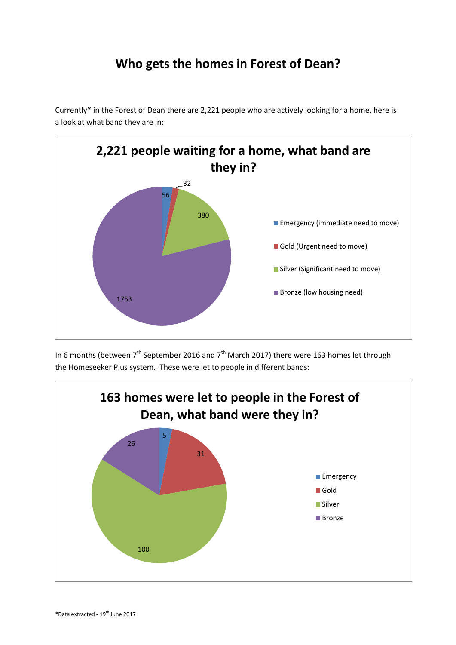## **Who gets the homes in Forest of Dean?**

Currently\* in the Forest of Dean there are 2,221 people who are actively looking for a home, here is a look at what band they are in:



In 6 months (between  $7<sup>th</sup>$  September 2016 and  $7<sup>th</sup>$  March 2017) there were 163 homes let through the Homeseeker Plus system. These were let to people in different bands: